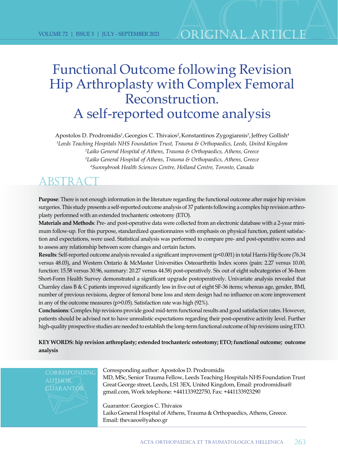## Functional Outcome following Revision Hip Arthroplasty with Complex Femoral Reconstruction. A self-reported outcome analysis

Apostolos D. Prodromidis<sup>1</sup>, Georgios C. Thivaios<sup>2</sup>, Konstantinos Zygogiannis<sup>3</sup>, Jeffrey Gollish<sup>4</sup> *Leeds Teaching Hospitals NHS Foundation Trust, Trauma & Orthopaedics, Leeds, United Kingdom Laiko General Hospital of Athens, Trauma & Orthopaedics, Athens, Greece Laiko General Hospital of Athens, Trauma & Orthopaedics, Athens, Greece Sunnybrook Health Sciences Centre, Holland Centre, Toronto, Canada*

### ABSTRAC

**Purpose**: There is not enough information in the literature regarding the functional outcome after major hip revision surgeries. Τhis study presents a self-reported outcome analysis of 37 patients following a complex hip revision arthroplasty performed with an extended trochanteric osteotomy (ETO).

**Materials and Methods**: Pre- and post-operative data were collected from an electronic database with a 2-year minimum follow-up. For this purpose, standardized questionnaires with emphasis on physical function, patient satisfaction and expectations, were used. Statistical analysis was performed to compare pre- and post-operative scores and to assess any relationship between score changes and certain factors.

**Results**: Self-reported outcome analysis revealed a significant improvement (p<0.001) in total Harris Hip Score (76.34 versus 48.03), and Western Ontario & McMaster Universities Osteoarthritis Index scores (pain: 2.27 versus 10.00, function: 15.58 versus 30.96, summary: 20.27 versus 44.58) post-operatively. Six out of eight subcategories of 36-Item Short-Form Health Survey demonstrated a significant upgrade postoperatively. Univariate analysis revealed that Charnley class B & C patients improved significantly less in five out of eight SF-36 items; whereas age, gender, BMI, number of previous revisions, degree of femoral bone loss and stem design had no influence on score improvement in any of the outcome measures (p>0.05). Satisfaction rate was high (92%).

**Conclusions**: Complex hip revisions provide good mid-term functional results and good satisfaction rates. However, patients should be advised not to have unrealistic expectations regarding their post-operative activity level. Further high-quality prospective studies are needed to establish the long-term functional outcome of hip revisions using ETO.

**KEY WORDS: hip revision arthroplasty; extended trochanteric osteotomy; ETO; functional outcome; outcome analysis**

**CORRESPONDING** author, **GUARANTOR** 

Corresponding author: Apostolos D. Prodromidis MD, MSc, Senior Trauma Fellow, Leeds Teaching Hospitals NHS Foundation Trust Great George street, Leeds, LS1 3EX, United Kingdom, Email: prodromidisa@ gmail.com, Work telephone: +441133922750, Fax: +441133923290

Guarantor: Georgios C. Thivaios Laiko General Hospital of Athens, Trauma & Orthopaedics, Athens, Greece. Email: thevaeos@yahoo.gr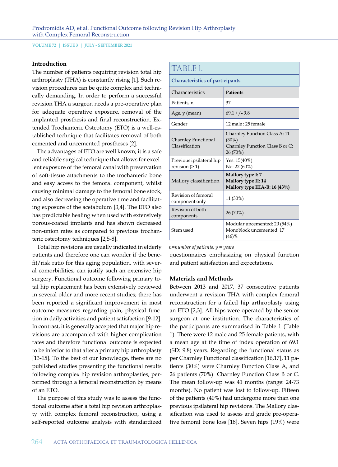#### **Introduction**

The number of patients requiring revision total hip arthroplasty (THA) is constantly rising [1]. Such revision procedures can be quite complex and technically demanding. In order to perform a successful revision THA a surgeon needs a pre-operative plan for adequate operative exposure, removal of the implanted prosthesis and final reconstruction. Extended Trochanteric Osteotomy (ETO) is a well-established technique that facilitates removal of both cemented and uncemented prostheses [2].

The advantages of ETO are well known; it is a safe and reliable surgical technique that allows for excellent exposure of the femoral canal with preservation of soft-tissue attachments to the trochanteric bone and easy access to the femoral component, whilst causing minimal damage to the femoral bone stock, and also decreasing the operative time and facilitating exposure of the acetabulum [3,4]. The ETO also has predictable healing when used with extensively porous-coated implants and has shown decreased non-union rates as compared to previous trochanteric osteotomy techniques [2,5-8].

Total hip revisions are usually indicated in elderly patients and therefore one can wonder if the benefit/risk ratio for this aging population, with several comorbidities, can justify such an extensive hip surgery. Functional outcome following primary total hip replacement has been extensively reviewed in several older and more recent studies; there has been reported a significant improvement in most outcome measures regarding pain, physical function in daily activities and patient satisfaction [9-12]. In contrast, it is generally accepted that major hip revisions are accompanied with higher complication rates and therefore functional outcome is expected to be inferior to that after a primary hip arthroplasty [13-15]. To the best of our knowledge, there are no published studies presenting the functional results following complex hip revision arthroplasties, performed through a femoral reconstruction by means of an ETO.

The purpose of this study was to assess the functional outcome after a total hip revision arthroplasty with complex femoral reconstruction, using a self-reported outcome analysis with standardized

| TABLE 1.                                     |                                                                                          |
|----------------------------------------------|------------------------------------------------------------------------------------------|
| <b>Characteristics of participants</b>       |                                                                                          |
| Characteristics                              | <b>Patients</b>                                                                          |
| Patients, n                                  | 37                                                                                       |
| Age, y (mean)                                | $69.1 + (-9.8)$                                                                          |
| Gender                                       | 12 male: 25 female                                                                       |
| Charnley Functional<br>Classification        | Charnley Function Class A: 11<br>$(30\%)$<br>Charnley Function Class B or C:<br>26 (70%) |
| Previous ipsilateral hip<br>revision $(2 1)$ | Yes: $15(40\%)$<br>No: 22 (60%)                                                          |
| Mallory classification                       | Mallory type I: 7<br>Mallory type II: 14<br>Mallory type IIIA-B: 16 (43%)                |
| Revision of femoral<br>component only        | 11 (30%)                                                                                 |
| Revision of both<br>components               | 26 (70%)                                                                                 |
| Stem used                                    | Modular uncemented: 20 (54%)<br>Monoblock uncemented: 17<br>$(46)$ %                     |

*n=number of patients, y = years*

questionnaires emphasizing on physical function and patient satisfaction and expectations.

#### **Materials and Methods**

Between 2013 and 2017, 37 consecutive patients underwent a revision THA with complex femoral reconstruction for a failed hip arthroplasty using an ETO [2,3]. All hips were operated by the senior surgeon at one institution. The characteristics of the participants are summarised in Table 1 (Table 1). There were 12 male and 25 female patients, with a mean age at the time of index operation of 69.1 (SD: 9.8) years. Regarding the functional status as per Charnley Functional classification [16,17], 11 patients (30%) were Charnley Function Class A, and 26 patients (70%) Charnley Function Class B or C. The mean follow-up was 41 months (range: 24-73 months). No patient was lost to follow-up. Fifteen of the patients (40%) had undergone more than one previous ipsilateral hip revisions. The Mallory classification was used to assess and grade pre-operative femoral bone loss [18]. Seven hips (19%) were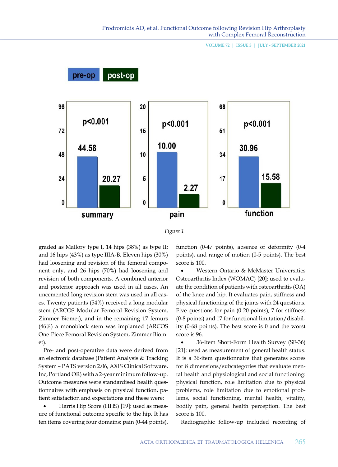



graded as Mallory type I, 14 hips (38%) as type II; and 16 hips (43%) as type IIIA-B. Eleven hips (30%) had loosening and revision of the femoral component only, and 26 hips (70%) had loosening and revision of both components. A combined anterior and posterior approach was used in all cases. An uncemented long revision stem was used in all cases. Twenty patients (54%) received a long modular stem (ARCOS Modular Femoral Revision System, Zimmer Biomet), and in the remaining 17 femurs (46%) a monoblock stem was implanted (ARCOS One-Piece Femoral Revision System, Zimmer Biomet).

Pre- and post-operative data were derived from an electronic database (Patient Analysis & Tracking System – PATS version 2.06, AXIS Clinical Software, Inc, Portland OR) with a 2-year minimum follow-up. Outcome measures were standardised health questionnaires with emphasis on physical function, patient satisfaction and expectations and these were:

Harris Hip Score (HHS) [19]: used as measure of functional outcome specific to the hip. It has ten items covering four domains: pain (0-44 points), function (0-47 points), absence of deformity (0-4 points), and range of motion (0-5 points). The best score is 100.

Western Ontario & McMaster Universities Osteoarthritis Index (WOMAC) [20]: used to evaluate the condition of patients with osteoarthritis (OA) of the knee and hip. It evaluates pain, stiffness and physical functioning of the joints with 24 questions. Five questions for pain (0-20 points), 7 for stiffness (0-8 points) and 17 for functional limitation/disability (0-68 points). The best score is 0 and the worst score is 96.

36-Item Short-Form Health Survey (SF-36) [21]: used as measurement of general health status. It is a 36-item questionnaire that generates scores for 8 dimensions/subcategories that evaluate mental health and physiological and social functioning: physical function, role limitation due to physical problems, role limitation due to emotional problems, social functioning, mental health, vitality, bodily pain, general health perception. The best score is 100.

Radiographic follow-up included recording of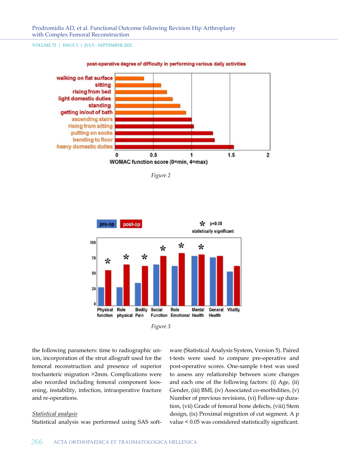

#### post-operative degree of difficulty in performing various daily activities

*Figure 2*





the following parameters: time to radiographic union, incorporation of the strut allograft used for the femoral reconstruction and presence of superior trochanteric migration >2mm. Complications were also recorded including femoral component loosening, instability, infection, intraoperative fracture and re-operations.

#### *Statistical analysis*

Statistical analysis was performed using SAS soft-

ware (Statistical Analysis System, Version 5). Paired t-tests were used to compare pre-operative and post-operative scores. One-sample t-test was used to assess any relationship between score changes and each one of the following factors: (i) Age, (ii) Gender, (iii) BMI, (iv) Associated co-morbidities, (v) Number of previous revisions, (vi) Follow-up duration, (vii) Grade of femoral bone defects, (viii) Stem design, (ix) Proximal migration of cut segment. A p value < 0.05 was considered statistically significant.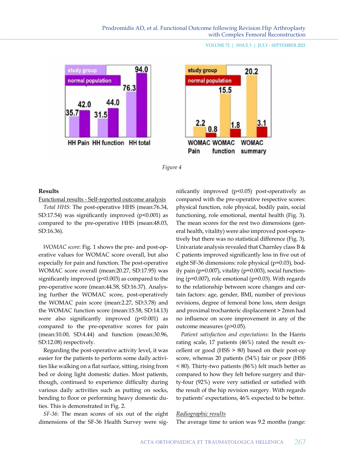





#### **Results**

Functional results - Self-reported outcome analysis

*Total HHS*: The post-operative HHS (mean:76.34, SD:17.54) was significantly improved  $(p<0.001)$  as compared to the pre-operative HHS (mean:48.03, SD:16.36).

*WOMAC score*: Fig. 1 shows the pre- and post-operative values for WOMAC score overall, but also especially for pain and function. The post-operative WOMAC score overall (mean:20.27, SD:17.95) was significantly improved  $(p<0.003)$  as compared to the pre-operative score (mean:44.58, SD:16.37). Analysing further the WOMAC score, post-operatively the WOMAC pain score (mean:2.27, SD:3.78) and the WOMAC function score (mean:15.58, SD:14.13) were also significantly improved (p<0.001) as compared to the pre-operative scores for pain (mean:10.00, SD:4.44) and function (mean:30.96, SD:12.08) respectively.

Regarding the post-operative activity level, it was easier for the patients to perform some daily activities like walking on a flat surface, sitting, rising from bed or doing light domestic duties. Most patients, though, continued to experience difficulty during various daily activities such as putting on socks, bending to floor or performing heavy domestic duties. This is demonstrated in Fig. 2.

*SF-36*: The mean scores of six out of the eight dimensions of the SF-36 Health Survey were significantly improved (p<0.05) post-operatively as compared with the pre-operative respective scores: physical function, role physical, bodily pain, social functioning, role emotional, mental health (Fig. 3). The mean scores for the rest two dimensions (general health, vitality) were also improved post-operatively but there was no statistical difference (Fig. 3). Univariate analysis revealed that Charnley class B  $\&$ C patients improved significantly less in five out of eight SF-36 dimensions: role physical (p=0.03), bodily pain (p=0.007), vitality (p=0.003), social functioning (p=0.007), role emotional (p=0.03). With regards to the relationship between score changes and certain factors: age, gender, BMI, number of previous revisions, degree of femoral bone loss, stem design and proximal trochanteric displacement > 2mm had no influence on score improvement in any of the outcome measures (p>0.05).

*Patient satisfaction and expectations*: In the Harris rating scale, 17 patients (46%) rated the result excellent or good (HSS > 80) based on their post-op score, whereas 20 patients (54%) fair or poor (HSS < 80). Thirty-two patients (86%) felt much better as compared to how they felt before surgery and thirty-four (92%) were very satisfied or satisfied with the result of the hip revision surgery. With regards to patients' expectations, 46% expected to be better.

#### *Radiographic results*

The average time to union was 9.2 months (range: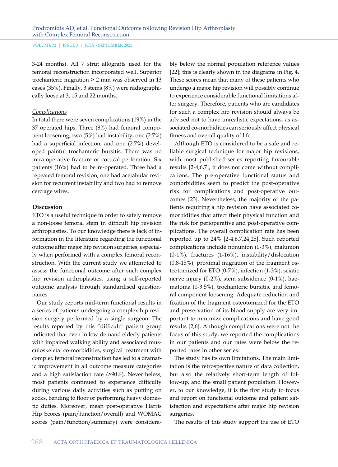3-24 months). All 7 strut allografts used for the femoral reconstruction incorporated well. Superior trochanteric migration > 2 mm was observed in 13 cases (35%). Finally, 3 stems (8%) were radiographically loose at 3, 15 and 22 months.

#### *Complications*

In total there were seven complications (19%) in the 37 operated hips. Three (8%) had femoral component loosening, two (5%) had instability, one (2.7%) had a superficial infection, and one (2.7%) developed painful trochanteric bursitis. There was no intra-operative fracture or cortical perforation. Six patients (16%) had to be re-operated. Three had a repeated femoral revision, one had acetabular revision for recurrent instability and two had to remove cerclage wires.

#### **Discussion**

ETO is a useful technique in order to safely remove a non-loose femoral stem in difficult hip revision arthroplasties. To our knowledge there is lack of information in the literature regarding the functional outcome after major hip revision surgeries, especially when performed with a complex femoral reconstruction. With the current study we attempted to assess the functional outcome after such complex hip revision arthroplasties, using a self-reported outcome analysis through standardised questionnaires.

Our study reports mid-term functional results in a series of patients undergoing a complex hip revision surgery performed by a single surgeon. The results reported by this "difficult" patient group indicated that even in low-demand elderly patients with impaired walking ability and associated musculoskeletal co-morbidities, surgical treatment with complex femoral reconstruction has led to a dramatic improvement in all outcome measure categories and a high satisfaction rate (>90%). Nevertheless, most patients continued to experience difficulty during various daily activities such as putting on socks, bending to floor or performing heavy domestic duties. Moreover, mean post-operative Harris Hip Scores (pain/function/overall) and WOMAC scores (pain/function/summary) were considerably below the normal population reference values [22]; this is clearly shown in the diagrams in Fig. 4. These scores mean that many of these patients who undergo a major hip revision will possibly continue to experience considerable functional limitations after surgery. Therefore, patients who are candidates for such a complex hip revision should always be advised not to have unrealistic expectations, as associated co-morbidities can seriously affect physical fitness and overall quality of life.

Although ETO is considered to be a safe and reliable surgical technique for major hip revisions, with most published series reporting favourable results [2-4,6,7], it does not come without complications. The pre-operative functional status and comorbidities seem to predict the post-operative risk for complications and post-operative outcomes [23]. Nevertheless, the majority of the patients requiring a hip revision have associated comorbidities that affect their physical function and the risk for perioperative and post-operative complications. The overall complication rate has been reported up to 24% [2-4,6,7,24,25]. Such reported complications include nonunion (0-3%), malunion  $(0-1\%)$ , fractures  $(1-16\%)$ , instability/dislocation (0.8-15%), proximal migration of the fragment osteotomized for ETO (0-7%), infection (1-3%), sciatic nerve injury (0-2%), stem subsidence (0-1%), haematoma (1-3.5%), trochanteric bursitis, and femoral component loosening. Adequate reduction and fixation of the fragment osteotomized for the ETO and preservation of its blood supply are very important to minimize complications and have good results [2,6]. Although complications were not the focus of this study, we reported the complications in our patients and our rates were below the reported rates in other series.

The study has its own limitations. The main limitation is the retrospective nature of data collection, but also the relatively short-term length of follow-up, and the small patient population. However, to our knowledge, it is the first study to focus and report on functional outcome and patient satisfaction and expectations after major hip revision surgeries.

The results of this study support the use of ETO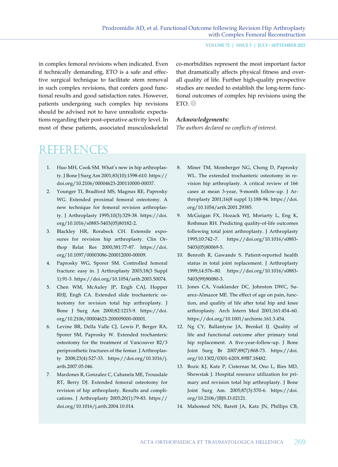in complex femoral revisions when indicated. Even if technically demanding, ETO is a safe and effective surgical technique to facilitate stem removal in such complex revisions, that confers good functional results and good satisfaction rates. However, patients undergoing such complex hip revisions should be advised not to have unrealistic expectations regarding their post-operative activity level. In most of these patients, associated musculoskeletal co-morbidities represent the most important factor that dramatically affects physical fitness and overall quality of life. Further high-quality prospective studies are needed to establish the long-term functional outcomes of complex hip revisions using the ETO. A

#### *Acknowledgements:*

*The authors declared no conflicts of interest.*

### References

- 1. Huo MH, Cook SM. What's new in hip arthroplasty. J Bone J Surg Am 2001;83(10):1598-610. https:// doi.org/10.2106/00004623-200110000-00037.
- 2. Younger TI, Bradford MS, Magnus RE, Paprosky WG. Extended proximal femoral osteotomy. A new technique for femoral revision arthroplasty. J Arthroplasty 1995;10(3):329-38. https://doi. org/10.1016/s0883-5403(05)80182-2.
- 3. Blackley HR, Rorabeck CH. Extensile exposures for revision hip arthroplasty. Clin Orthop Relat Res 2000;381:77-87. https://doi. org/10.1097/00003086-200012000-00009.
- 4. Paprosky WG, Sporer SM. Controlled femoral fracture: easy in. J Arthroplasty 2003;18(3 Suppl 1):91-3. https://doi.org/10.1054/arth.2003.50074.
- 5. Chen WM, McAuley JP, Engh CAJ, Hopper RHJ, Engh CA. Extended slide trochanteric osteotomy for revision total hip arthroplasty. J Bone J Surg Am 2000;82:1215-9. https://doi. org/10.2106/00004623-200009000-00001.
- 6. Levine BR, Della Valle CJ, Lewis P, Berger RA, Sporer SM, Paprosky W. Extended trochanteric osteotomy for the treatment of Vancouver B2/3 periprosthetic fractures of the femur. J Arthroplasty 2008;23(4):527-33. https://doi.org/10.1016/j. arth.2007.05.046.
- 7. Mardones R, Gonzalez C, Cabanela ME, Trousdale RT, Berry DJ. Extended femoral osteotomy for revision of hip arthroplasty. Results and complications. J Arthroplasty 2005;20(1):79-83. https:// doi.org/10.1016/j.arth.2004.10.014.
- 8. Miner TM, Momberger NG, Chong D, Paprosky WL. The extended trochanteric osteotomy in revision hip arthroplasty. A critical review of 166 cases at mean 3-year, 9-month follow-up. J Arthroplasty 2001;16(8 suppl 1):188-94. https://doi. org/10.1054/arth.2001.29385.
- 9. McGuigan FX, Hozack WJ, Moriarty L, Eng K, Rothman RH. Predicting quality-of-life outcomes following total joint arthroplasty. J Arthroplasty 1995;10:742–7. https://doi.org/10.1016/s0883- 5403(05)80069-5.
- 10. Benroth R, Gawande S. Patient-reported health status in total joint replacement. J Arthroplasty 1999;14:576–80. https://doi.org/10.1016/s0883- 5403(99)90080-3.
- 11. Jones CA, Voaklander DC, Johnston DWC, Suarez-Almazor ME. The effect of age on pain, function, and quality of life after total hip and knee arthroplasty. Arch Intern Med 2001;161:454–60. https://doi.org/10.1001/archinte.161.3.454.
- 12. Ng CY, Ballantyne JA, Brenkel IJ. Quality of life and functional outcome after primary total hip replacement. A five-year-follow-up. J Bone Joint Surg Br 2007;89(7):868-73. https://doi. org/10.1302/0301-620X.89B7.18482.
- 13. Bozic KJ, Katz P, Cisternas M, Ono L, Ries MD, Showstak J. Hospital resource utilization for primary and revision total hip arthroplasty. J Bone Joint Surg Am. 2005;87(3):570-6. https://doi. org/10.2106/JBJS.D.02121.
- 14. Mahomed NN, Barett JA, Katz JN, Phillips CB,